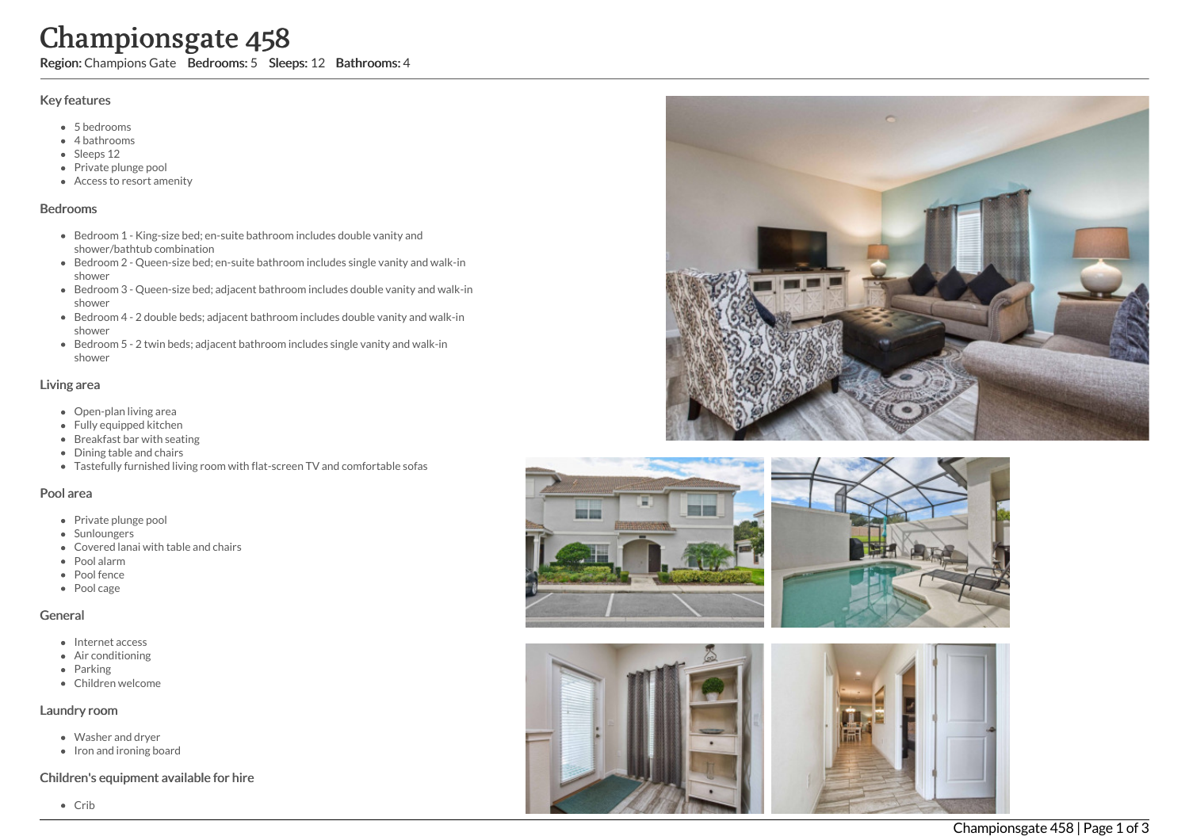# Championsgate 458

Region: Champions Gate Bedrooms: 5 Sleeps: 12 Bathrooms: 4

#### Key features

- 5 b e d r o o m s
- 4 bathrooms
- Sleeps 12
- Private plunge pool
- Access to resort am e nit y

#### **Bedrooms**

- Bedroom 1 King-size bed; en-suite bathroom includes double vanity and shower/bathtub combination
- Bedroom 2 Queen-size bed; en-suite bathroom includes single vanity and walk-in s h o w e r
- Bedroom 3 Queen-size bed; adjacent bathroom includes double vanity and walk-in s h o w e r
- Bedroom 4 2 double beds; adjacent bathroom includes double vanity and walk-in s h o w e r
- Bedroom 5 2 twin beds; adjacent bathroom includes single vanity and walk-in s h o w e r

### Living area

- Open-plan living area
- Fully equipped kitchen
- Breakfast bar with seating
- Dining table and chairs
- Tastefully furnished living room with flat-screen TV and comfortable sofas

### Pool area

- Private plunge pool
- Sunloungers
- Covered lanai with table and chairs
- P o ol ala r m
- Pool fence
- Pool cage

### General

- Internet access
- Air conditioning
- Parking
- Children welcome

### Laundry room

- Washer and dryer
- Iron and ironing board

### Children's equipment available for hire







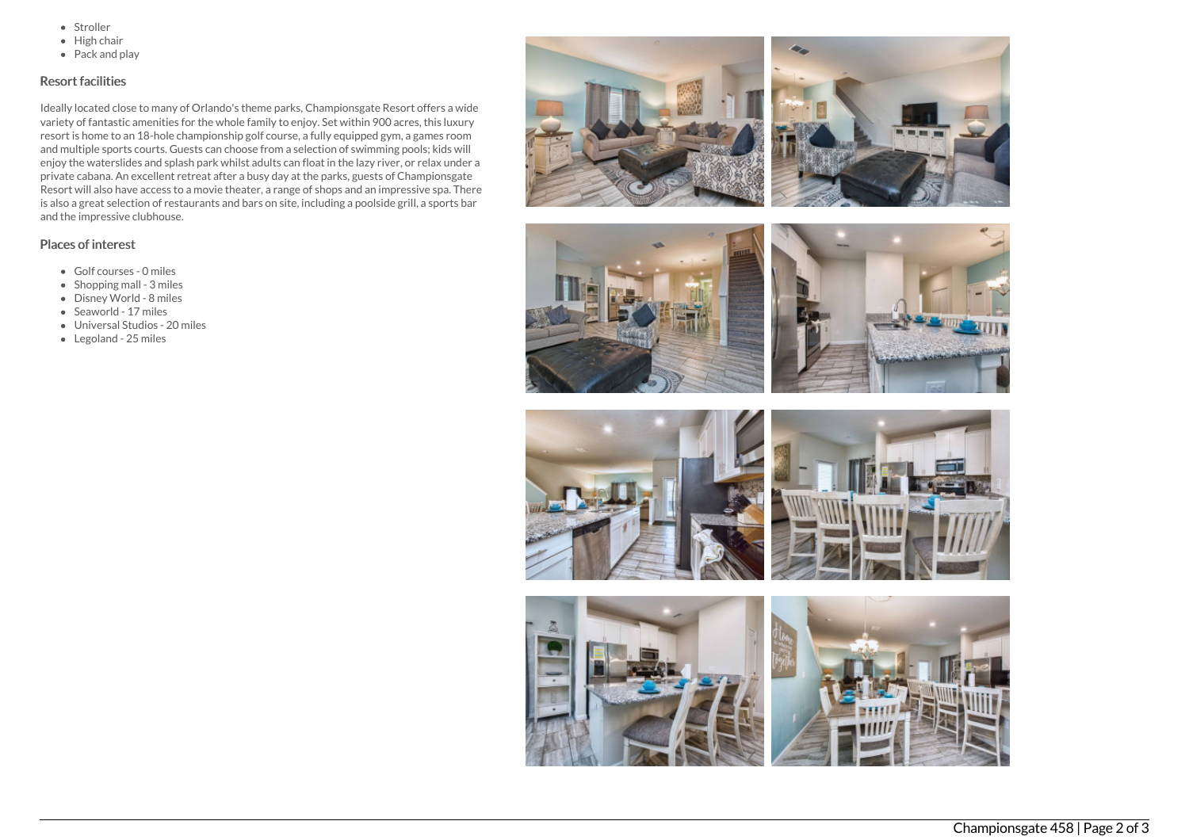- Stroller
- $\bullet$  High chair
- Pack and play

## Resort facilities

Ideally located close to many of Orlando's theme parks, Championsgate Resort offers a wide variety of fantastic amenities for the whole family to enjoy. Set within 900 acres, this luxury resort is home to an 18-hole championship golf course, a fully equipped gym, a games room and multiple sports courts. Guests can choose from a selection of swimming pools; kids will enjoy the waterslides and splash park whilst adults can float in the lazy river, or relax under a private cabana. An excellent retreat after a busy day at the parks, guests of Championsgate Resort will also have access to a movie theater, a range of shops and an impressive spa. There is also a great selection of restaurants and bars on site, including a poolside grill, a sports bar and the impressive clubhouse.

## Places of interest

- Golf courses 0 miles
- $\bullet$  Shopping mall 3 miles
- Disney World 8 miles
- Seaworld 17 miles
- Universal Studios 20 miles
- Legoland 25 miles